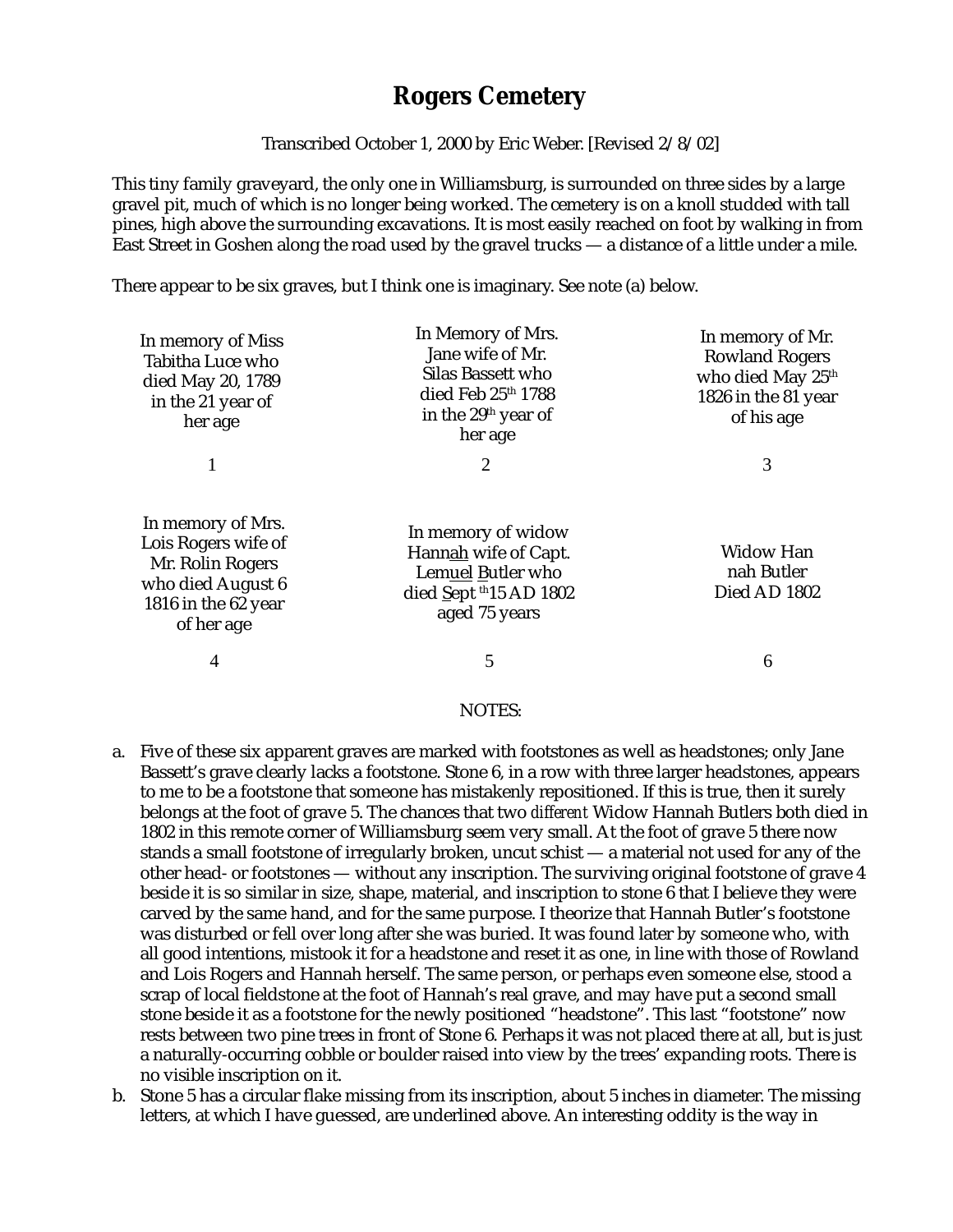## **Rogers Cemetery**

Transcribed October 1, 2000 by Eric Weber. [Revised 2/8/02]

This tiny family graveyard, the only one in Williamsburg, is surrounded on three sides by a large gravel pit, much of which is no longer being worked. The cemetery is on a knoll studded with tall pines, high above the surrounding excavations. It is most easily reached on foot by walking in from East Street in Goshen along the road used by the gravel trucks — a distance of a little under a mile.

There appear to be six graves, but I think one is imaginary. See note (a) below.

| In memory of Miss<br>Tabitha Luce who<br>died May 20, 1789<br>in the 21 year of<br>her age                             | In Memory of Mrs.<br>Jane wife of Mr.<br>Silas Bassett who<br>died Feb 25th 1788<br>in the 29 <sup>th</sup> year of<br>her age | In memory of Mr.<br><b>Rowland Rogers</b><br>who died May 25th<br>1826 in the 81 year<br>of his age |
|------------------------------------------------------------------------------------------------------------------------|--------------------------------------------------------------------------------------------------------------------------------|-----------------------------------------------------------------------------------------------------|
|                                                                                                                        | 2                                                                                                                              | 3                                                                                                   |
| In memory of Mrs.<br>Lois Rogers wife of<br>Mr. Rolin Rogers<br>who died August 6<br>1816 in the 62 year<br>of her age | In memory of widow<br>Hannah wife of Capt.<br>Lemuel Butler who<br>died Sept $th15$ AD 1802<br>aged 75 years                   | <b>Widow Han</b><br>nah Butler<br>Died AD 1802                                                      |
| $\overline{4}$                                                                                                         | 5                                                                                                                              | 6                                                                                                   |
|                                                                                                                        |                                                                                                                                |                                                                                                     |

## NOTES:

- a. Five of these six apparent graves are marked with footstones as well as headstones; only Jane Bassett's grave clearly lacks a footstone. Stone 6, in a row with three larger headstones, appears to me to be a footstone that someone has mistakenly repositioned. If this is true, then it surely belongs at the foot of grave 5. The chances that two *different* Widow Hannah Butlers both died in 1802 in this remote corner of Williamsburg seem very small. At the foot of grave 5 there now stands a small footstone of irregularly broken, uncut schist — a material not used for any of the other head- or footstones — without any inscription. The surviving original footstone of grave 4 beside it is so similar in size, shape, material, and inscription to stone 6 that I believe they were carved by the same hand, and for the same purpose. I theorize that Hannah Butler's footstone was disturbed or fell over long after she was buried. It was found later by someone who, with all good intentions, mistook it for a headstone and reset it as one, in line with those of Rowland and Lois Rogers and Hannah herself. The same person, or perhaps even someone else, stood a scrap of local fieldstone at the foot of Hannah's real grave, and may have put a second small stone beside it as a footstone for the newly positioned "headstone". This last "footstone" now rests between two pine trees in front of Stone 6. Perhaps it was not placed there at all, but is just a naturally-occurring cobble or boulder raised into view by the trees' expanding roots. There is no visible inscription on it.
- b. Stone 5 has a circular flake missing from its inscription, about 5 inches in diameter. The missing letters, at which I have guessed, are underlined above. An interesting oddity is the way in